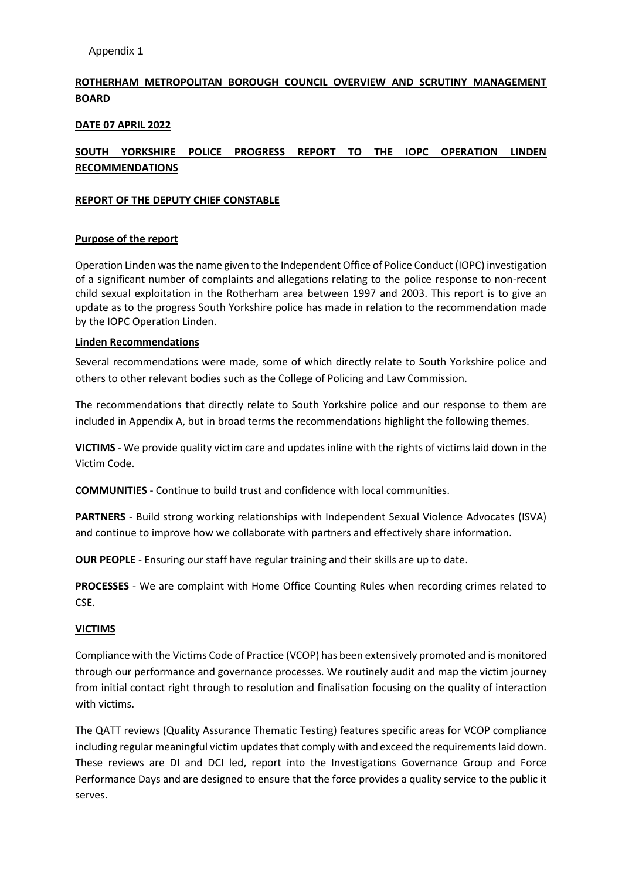# **ROTHERHAM METROPOLITAN BOROUGH COUNCIL OVERVIEW AND SCRUTINY MANAGEMENT BOARD**

# **DATE 07 APRIL 2022**

# **SOUTH YORKSHIRE POLICE PROGRESS REPORT TO THE IOPC OPERATION LINDEN RECOMMENDATIONS**

# **REPORT OF THE DEPUTY CHIEF CONSTABLE**

# **Purpose of the report**

Operation Linden was the name given to the Independent Office of Police Conduct (IOPC) investigation of a significant number of complaints and allegations relating to the police response to non-recent child sexual exploitation in the Rotherham area between 1997 and 2003. This report is to give an update as to the progress South Yorkshire police has made in relation to the recommendation made by the IOPC Operation Linden.

# **Linden Recommendations**

Several recommendations were made, some of which directly relate to South Yorkshire police and others to other relevant bodies such as the College of Policing and Law Commission.

The recommendations that directly relate to South Yorkshire police and our response to them are included in Appendix A, but in broad terms the recommendations highlight the following themes.

**VICTIMS** - We provide quality victim care and updates inline with the rights of victims laid down in the Victim Code.

**COMMUNITIES** - Continue to build trust and confidence with local communities.

**PARTNERS** - Build strong working relationships with Independent Sexual Violence Advocates (ISVA) and continue to improve how we collaborate with partners and effectively share information.

**OUR PEOPLE** - Ensuring our staff have regular training and their skills are up to date.

**PROCESSES** - We are complaint with Home Office Counting Rules when recording crimes related to CSE.

#### **VICTIMS**

Compliance with the Victims Code of Practice (VCOP) has been extensively promoted and is monitored through our performance and governance processes. We routinely audit and map the victim journey from initial contact right through to resolution and finalisation focusing on the quality of interaction with victims.

The QATT reviews (Quality Assurance Thematic Testing) features specific areas for VCOP compliance including regular meaningful victim updates that comply with and exceed the requirements laid down. These reviews are DI and DCI led, report into the Investigations Governance Group and Force Performance Days and are designed to ensure that the force provides a quality service to the public it serves.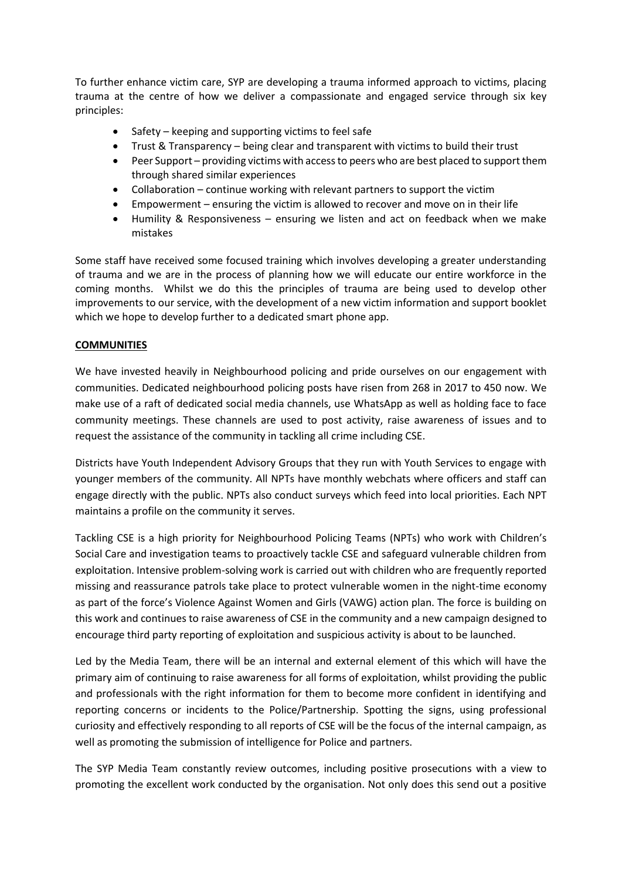To further enhance victim care, SYP are developing a trauma informed approach to victims, placing trauma at the centre of how we deliver a compassionate and engaged service through six key principles:

- Safety keeping and supporting victims to feel safe
- Trust & Transparency being clear and transparent with victims to build their trust
- Peer Support providing victims with access to peers who are best placed to support them through shared similar experiences
- Collaboration continue working with relevant partners to support the victim
- Empowerment ensuring the victim is allowed to recover and move on in their life
- Humility & Responsiveness ensuring we listen and act on feedback when we make mistakes

Some staff have received some focused training which involves developing a greater understanding of trauma and we are in the process of planning how we will educate our entire workforce in the coming months. Whilst we do this the principles of trauma are being used to develop other improvements to our service, with the development of a new victim information and support booklet which we hope to develop further to a dedicated smart phone app.

#### **COMMUNITIES**

We have invested heavily in Neighbourhood policing and pride ourselves on our engagement with communities. Dedicated neighbourhood policing posts have risen from 268 in 2017 to 450 now. We make use of a raft of dedicated social media channels, use WhatsApp as well as holding face to face community meetings. These channels are used to post activity, raise awareness of issues and to request the assistance of the community in tackling all crime including CSE.

Districts have Youth Independent Advisory Groups that they run with Youth Services to engage with younger members of the community. All NPTs have monthly webchats where officers and staff can engage directly with the public. NPTs also conduct surveys which feed into local priorities. Each NPT maintains a profile on the community it serves.

Tackling CSE is a high priority for Neighbourhood Policing Teams (NPTs) who work with Children's Social Care and investigation teams to proactively tackle CSE and safeguard vulnerable children from exploitation. Intensive problem-solving work is carried out with children who are frequently reported missing and reassurance patrols take place to protect vulnerable women in the night-time economy as part of the force's Violence Against Women and Girls (VAWG) action plan. The force is building on this work and continues to raise awareness of CSE in the community and a new campaign designed to encourage third party reporting of exploitation and suspicious activity is about to be launched.

Led by the Media Team, there will be an internal and external element of this which will have the primary aim of continuing to raise awareness for all forms of exploitation, whilst providing the public and professionals with the right information for them to become more confident in identifying and reporting concerns or incidents to the Police/Partnership. Spotting the signs, using professional curiosity and effectively responding to all reports of CSE will be the focus of the internal campaign, as well as promoting the submission of intelligence for Police and partners.

The SYP Media Team constantly review outcomes, including positive prosecutions with a view to promoting the excellent work conducted by the organisation. Not only does this send out a positive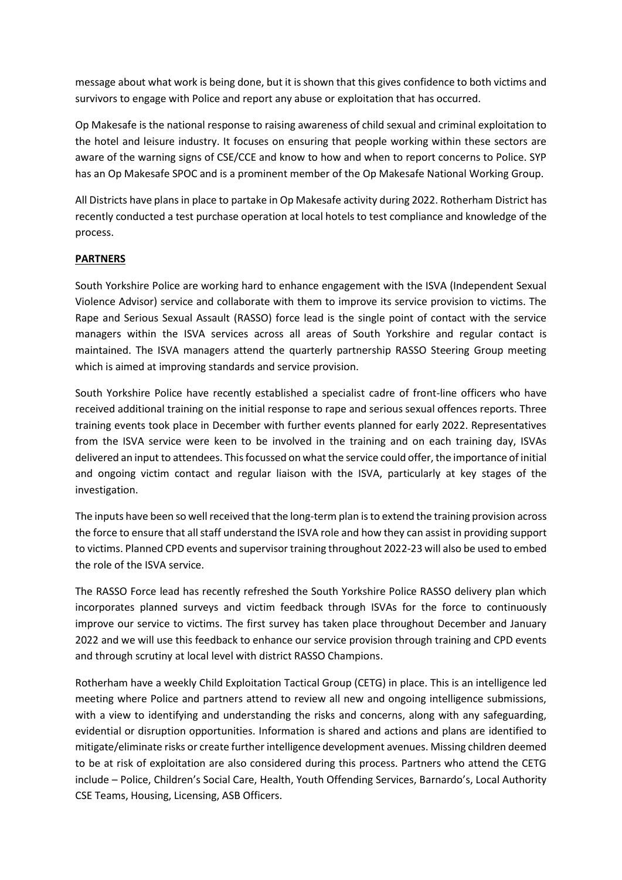message about what work is being done, but it is shown that this gives confidence to both victims and survivors to engage with Police and report any abuse or exploitation that has occurred.

Op Makesafe is the national response to raising awareness of child sexual and criminal exploitation to the hotel and leisure industry. It focuses on ensuring that people working within these sectors are aware of the warning signs of CSE/CCE and know to how and when to report concerns to Police. SYP has an Op Makesafe SPOC and is a prominent member of the Op Makesafe National Working Group.

All Districts have plans in place to partake in Op Makesafe activity during 2022. Rotherham District has recently conducted a test purchase operation at local hotels to test compliance and knowledge of the process.

# **PARTNERS**

South Yorkshire Police are working hard to enhance engagement with the ISVA (Independent Sexual Violence Advisor) service and collaborate with them to improve its service provision to victims. The Rape and Serious Sexual Assault (RASSO) force lead is the single point of contact with the service managers within the ISVA services across all areas of South Yorkshire and regular contact is maintained. The ISVA managers attend the quarterly partnership RASSO Steering Group meeting which is aimed at improving standards and service provision.

South Yorkshire Police have recently established a specialist cadre of front-line officers who have received additional training on the initial response to rape and serious sexual offences reports. Three training events took place in December with further events planned for early 2022. Representatives from the ISVA service were keen to be involved in the training and on each training day, ISVAs delivered an input to attendees. This focussed on what the service could offer, the importance of initial and ongoing victim contact and regular liaison with the ISVA, particularly at key stages of the investigation.

The inputs have been so well received that the long-term plan is to extend the training provision across the force to ensure that all staff understand the ISVA role and how they can assist in providing support to victims. Planned CPD events and supervisor training throughout 2022-23 will also be used to embed the role of the ISVA service.

The RASSO Force lead has recently refreshed the South Yorkshire Police RASSO delivery plan which incorporates planned surveys and victim feedback through ISVAs for the force to continuously improve our service to victims. The first survey has taken place throughout December and January 2022 and we will use this feedback to enhance our service provision through training and CPD events and through scrutiny at local level with district RASSO Champions.

Rotherham have a weekly Child Exploitation Tactical Group (CETG) in place. This is an intelligence led meeting where Police and partners attend to review all new and ongoing intelligence submissions, with a view to identifying and understanding the risks and concerns, along with any safeguarding, evidential or disruption opportunities. Information is shared and actions and plans are identified to mitigate/eliminate risks or create further intelligence development avenues. Missing children deemed to be at risk of exploitation are also considered during this process. Partners who attend the CETG include – Police, Children's Social Care, Health, Youth Offending Services, Barnardo's, Local Authority CSE Teams, Housing, Licensing, ASB Officers.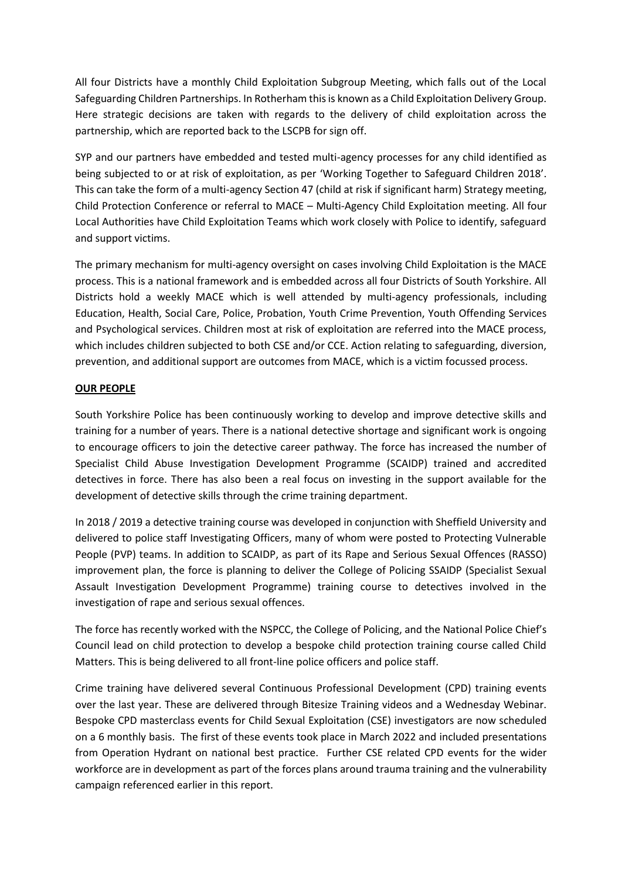All four Districts have a monthly Child Exploitation Subgroup Meeting, which falls out of the Local Safeguarding Children Partnerships. In Rotherham this is known as a Child Exploitation Delivery Group. Here strategic decisions are taken with regards to the delivery of child exploitation across the partnership, which are reported back to the LSCPB for sign off.

SYP and our partners have embedded and tested multi-agency processes for any child identified as being subjected to or at risk of exploitation, as per 'Working Together to Safeguard Children 2018'. This can take the form of a multi-agency Section 47 (child at risk if significant harm) Strategy meeting, Child Protection Conference or referral to MACE – Multi-Agency Child Exploitation meeting. All four Local Authorities have Child Exploitation Teams which work closely with Police to identify, safeguard and support victims.

The primary mechanism for multi-agency oversight on cases involving Child Exploitation is the MACE process. This is a national framework and is embedded across all four Districts of South Yorkshire. All Districts hold a weekly MACE which is well attended by multi-agency professionals, including Education, Health, Social Care, Police, Probation, Youth Crime Prevention, Youth Offending Services and Psychological services. Children most at risk of exploitation are referred into the MACE process, which includes children subjected to both CSE and/or CCE. Action relating to safeguarding, diversion, prevention, and additional support are outcomes from MACE, which is a victim focussed process.

# **OUR PEOPLE**

South Yorkshire Police has been continuously working to develop and improve detective skills and training for a number of years. There is a national detective shortage and significant work is ongoing to encourage officers to join the detective career pathway. The force has increased the number of Specialist Child Abuse Investigation Development Programme (SCAIDP) trained and accredited detectives in force. There has also been a real focus on investing in the support available for the development of detective skills through the crime training department.

In 2018 / 2019 a detective training course was developed in conjunction with Sheffield University and delivered to police staff Investigating Officers, many of whom were posted to Protecting Vulnerable People (PVP) teams. In addition to SCAIDP, as part of its Rape and Serious Sexual Offences (RASSO) improvement plan, the force is planning to deliver the College of Policing SSAIDP (Specialist Sexual Assault Investigation Development Programme) training course to detectives involved in the investigation of rape and serious sexual offences.

The force has recently worked with the NSPCC, the College of Policing, and the National Police Chief's Council lead on child protection to develop a bespoke child protection training course called Child Matters. This is being delivered to all front-line police officers and police staff.

Crime training have delivered several Continuous Professional Development (CPD) training events over the last year. These are delivered through Bitesize Training videos and a Wednesday Webinar. Bespoke CPD masterclass events for Child Sexual Exploitation (CSE) investigators are now scheduled on a 6 monthly basis. The first of these events took place in March 2022 and included presentations from Operation Hydrant on national best practice. Further CSE related CPD events for the wider workforce are in development as part of the forces plans around trauma training and the vulnerability campaign referenced earlier in this report.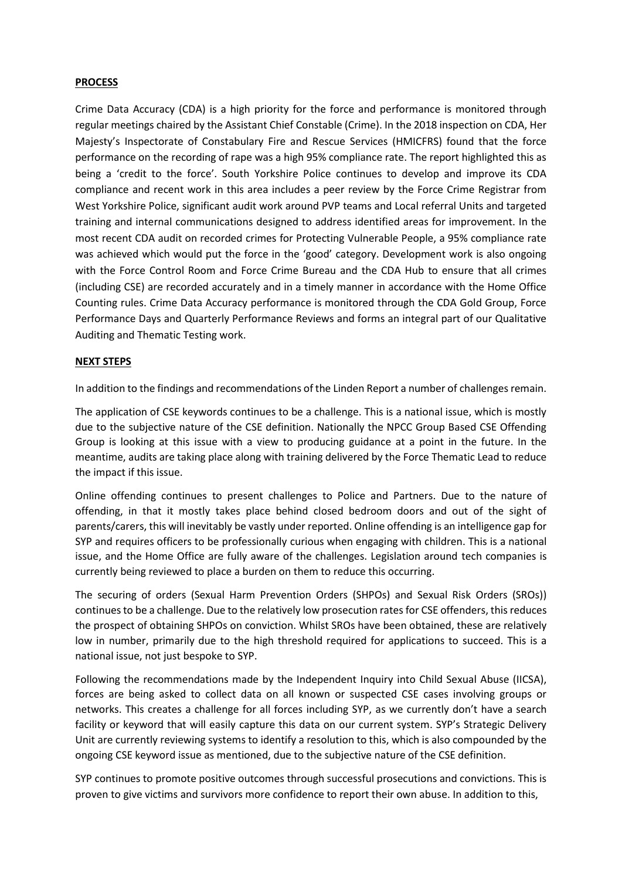#### **PROCESS**

Crime Data Accuracy (CDA) is a high priority for the force and performance is monitored through regular meetings chaired by the Assistant Chief Constable (Crime). In the 2018 inspection on CDA, Her Majesty's Inspectorate of Constabulary Fire and Rescue Services (HMICFRS) found that the force performance on the recording of rape was a high 95% compliance rate. The report highlighted this as being a 'credit to the force'. South Yorkshire Police continues to develop and improve its CDA compliance and recent work in this area includes a peer review by the Force Crime Registrar from West Yorkshire Police, significant audit work around PVP teams and Local referral Units and targeted training and internal communications designed to address identified areas for improvement. In the most recent CDA audit on recorded crimes for Protecting Vulnerable People, a 95% compliance rate was achieved which would put the force in the 'good' category. Development work is also ongoing with the Force Control Room and Force Crime Bureau and the CDA Hub to ensure that all crimes (including CSE) are recorded accurately and in a timely manner in accordance with the Home Office Counting rules. Crime Data Accuracy performance is monitored through the CDA Gold Group, Force Performance Days and Quarterly Performance Reviews and forms an integral part of our Qualitative Auditing and Thematic Testing work.

#### **NEXT STEPS**

In addition to the findings and recommendations of the Linden Report a number of challenges remain.

The application of CSE keywords continues to be a challenge. This is a national issue, which is mostly due to the subjective nature of the CSE definition. Nationally the NPCC Group Based CSE Offending Group is looking at this issue with a view to producing guidance at a point in the future. In the meantime, audits are taking place along with training delivered by the Force Thematic Lead to reduce the impact if this issue.

Online offending continues to present challenges to Police and Partners. Due to the nature of offending, in that it mostly takes place behind closed bedroom doors and out of the sight of parents/carers, this will inevitably be vastly under reported. Online offending is an intelligence gap for SYP and requires officers to be professionally curious when engaging with children. This is a national issue, and the Home Office are fully aware of the challenges. Legislation around tech companies is currently being reviewed to place a burden on them to reduce this occurring.

The securing of orders (Sexual Harm Prevention Orders (SHPOs) and Sexual Risk Orders (SROs)) continues to be a challenge. Due to the relatively low prosecution rates for CSE offenders, this reduces the prospect of obtaining SHPOs on conviction. Whilst SROs have been obtained, these are relatively low in number, primarily due to the high threshold required for applications to succeed. This is a national issue, not just bespoke to SYP.

Following the recommendations made by the Independent Inquiry into Child Sexual Abuse (IICSA), forces are being asked to collect data on all known or suspected CSE cases involving groups or networks. This creates a challenge for all forces including SYP, as we currently don't have a search facility or keyword that will easily capture this data on our current system. SYP's Strategic Delivery Unit are currently reviewing systems to identify a resolution to this, which is also compounded by the ongoing CSE keyword issue as mentioned, due to the subjective nature of the CSE definition.

SYP continues to promote positive outcomes through successful prosecutions and convictions. This is proven to give victims and survivors more confidence to report their own abuse. In addition to this,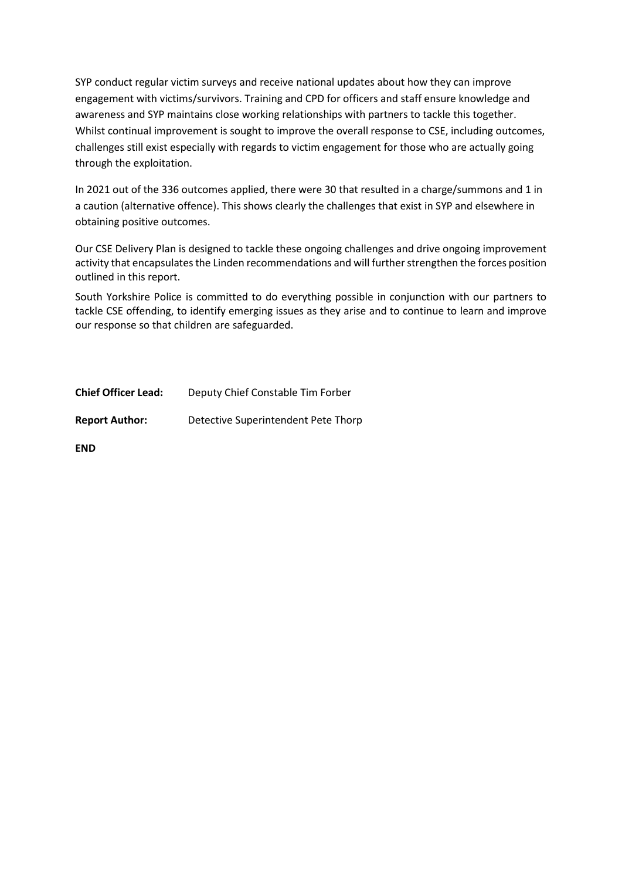SYP conduct regular victim surveys and receive national updates about how they can improve engagement with victims/survivors. Training and CPD for officers and staff ensure knowledge and awareness and SYP maintains close working relationships with partners to tackle this together. Whilst continual improvement is sought to improve the overall response to CSE, including outcomes, challenges still exist especially with regards to victim engagement for those who are actually going through the exploitation.

In 2021 out of the 336 outcomes applied, there were 30 that resulted in a charge/summons and 1 in a caution (alternative offence). This shows clearly the challenges that exist in SYP and elsewhere in obtaining positive outcomes.

Our CSE Delivery Plan is designed to tackle these ongoing challenges and drive ongoing improvement activity that encapsulates the Linden recommendations and will further strengthen the forces position outlined in this report.

South Yorkshire Police is committed to do everything possible in conjunction with our partners to tackle CSE offending, to identify emerging issues as they arise and to continue to learn and improve our response so that children are safeguarded.

| <b>Chief Officer Lead:</b> | Deputy Chief Constable Tim Forber |
|----------------------------|-----------------------------------|
|----------------------------|-----------------------------------|

**Report Author:** Detective Superintendent Pete Thorp

**END**